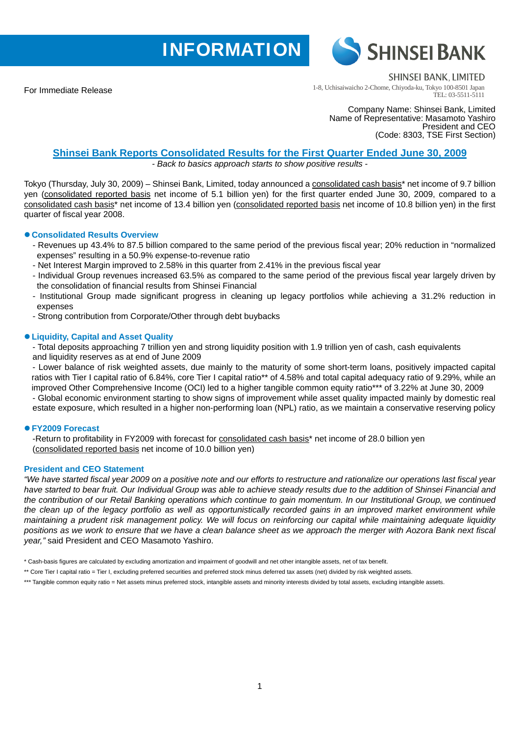# **INFORMATION**



For Immediate Release

**SHINSEI BANK, LIMITED** 

1-8, Uchisaiwaicho 2-Chome, Chiyoda-ku, Tokyo 100-8501 Japan TEL: 03-5511-5111

Company Name: Shinsei Bank, Limited Name of Representative: Masamoto Yashiro President and CEO (Code: 8303, TSE First Section)

# **Shinsei Bank Reports Consolidated Results for the First Quarter Ended June 30, 2009**

*- Back to basics approach starts to show positive results -* 

Tokyo (Thursday, July 30, 2009) – Shinsei Bank, Limited, today announced a consolidated cash basis\* net income of 9.7 billion yen (consolidated reported basis net income of 5.1 billion yen) for the first quarter ended June 30, 2009, compared to a consolidated cash basis\* net income of 13.4 billion yen (consolidated reported basis net income of 10.8 billion yen) in the first quarter of fiscal year 2008.

# z **Consolidated Results Overview**

- Revenues up 43.4% to 87.5 billion compared to the same period of the previous fiscal year; 20% reduction in "normalized expenses" resulting in a 50.9% expense-to-revenue ratio
- Net Interest Margin improved to 2.58% in this quarter from 2.41% in the previous fiscal year
- Individual Group revenues increased 63.5% as compared to the same period of the previous fiscal year largely driven by the consolidation of financial results from Shinsei Financial
- Institutional Group made significant progress in cleaning up legacy portfolios while achieving a 31.2% reduction in expenses
- Strong contribution from Corporate/Other through debt buybacks

# z **Liquidity, Capital and Asset Quality**

- Total deposits approaching 7 trillion yen and strong liquidity position with 1.9 trillion yen of cash, cash equivalents and liquidity reserves as at end of June 2009

- Lower balance of risk weighted assets, due mainly to the maturity of some short-term loans, positively impacted capital ratios with Tier I capital ratio of 6.84%, core Tier I capital ratio\*\* of 4.58% and total capital adequacy ratio of 9.29%, while an improved Other Comprehensive Income (OCI) led to a higher tangible common equity ratio\*\*\* of 3.22% at June 30, 2009 - Global economic environment starting to show signs of improvement while asset quality impacted mainly by domestic real estate exposure, which resulted in a higher non-performing loan (NPL) ratio, as we maintain a conservative reserving policy

# z **FY2009 Forecast**

-Return to profitability in FY2009 with forecast for consolidated cash basis\* net income of 28.0 billion yen (consolidated reported basis net income of 10.0 billion yen)

# **President and CEO Statement**

*"We have started fiscal year 2009 on a positive note and our efforts to restructure and rationalize our operations last fiscal year have started to bear fruit. Our Individual Group was able to achieve steady results due to the addition of Shinsei Financial and the contribution of our Retail Banking operations which continue to gain momentum. In our Institutional Group, we continued the clean up of the legacy portfolio as well as opportunistically recorded gains in an improved market environment while maintaining a prudent risk management policy. We will focus on reinforcing our capital while maintaining adequate liquidity positions as we work to ensure that we have a clean balance sheet as we approach the merger with Aozora Bank next fiscal year,"* said President and CEO Masamoto Yashiro.

\*\* Core Tier I capital ratio = Tier I, excluding preferred securities and preferred stock minus deferred tax assets (net) divided by risk weighted assets.

<sup>\*</sup> Cash-basis figures are calculated by excluding amortization and impairment of goodwill and net other intangible assets, net of tax benefit.

<sup>\*\*\*</sup> Tangible common equity ratio = Net assets minus preferred stock, intangible assets and minority interests divided by total assets, excluding intangible assets.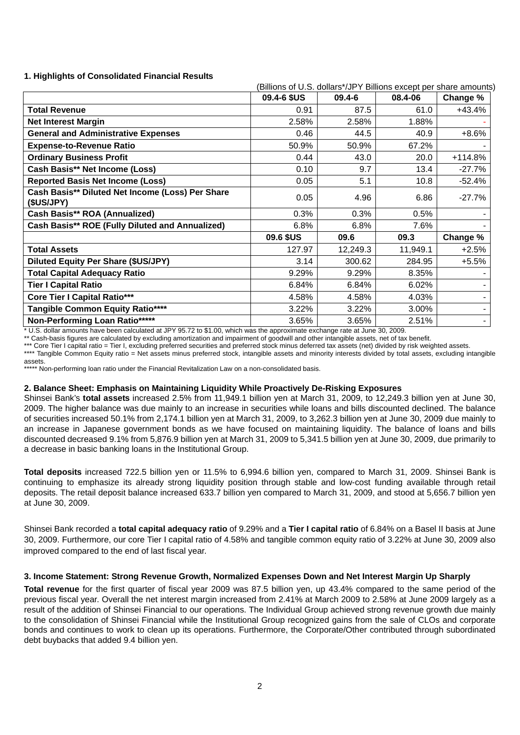## **1. Highlights of Consolidated Financial Results**

|                                                                | (Billions of U.S. dollars*/JPY Billions except per share amounts) |            |          |           |
|----------------------------------------------------------------|-------------------------------------------------------------------|------------|----------|-----------|
|                                                                | 09.4-6 \$US                                                       | $09.4 - 6$ | 08.4-06  | Change %  |
| <b>Total Revenue</b>                                           | 0.91                                                              | 87.5       | 61.0     | $+43.4%$  |
| <b>Net Interest Margin</b>                                     | 2.58%                                                             | 2.58%      | 1.88%    |           |
| <b>General and Administrative Expenses</b>                     | 0.46                                                              | 44.5       | 40.9     | $+8.6%$   |
| <b>Expense-to-Revenue Ratio</b>                                | 50.9%                                                             | 50.9%      | 67.2%    |           |
| <b>Ordinary Business Profit</b>                                | 0.44                                                              | 43.0       | 20.0     | $+114.8%$ |
| Cash Basis** Net Income (Loss)                                 | 0.10                                                              | 9.7        | 13.4     | $-27.7%$  |
| <b>Reported Basis Net Income (Loss)</b>                        | 0.05                                                              | 5.1        | 10.8     | $-52.4%$  |
| Cash Basis** Diluted Net Income (Loss) Per Share<br>(\$US/JPY) | 0.05                                                              | 4.96       | 6.86     | $-27.7%$  |
| Cash Basis** ROA (Annualized)                                  | 0.3%                                                              | 0.3%       | 0.5%     |           |
| Cash Basis** ROE (Fully Diluted and Annualized)                | 6.8%                                                              | 6.8%       | 7.6%     |           |
|                                                                | 09.6 \$US                                                         | 09.6       | 09.3     | Change %  |
| <b>Total Assets</b>                                            | 127.97                                                            | 12,249.3   | 11,949.1 | $+2.5%$   |
| Diluted Equity Per Share (\$US/JPY)                            | 3.14                                                              | 300.62     | 284.95   | $+5.5%$   |
| <b>Total Capital Adequacy Ratio</b>                            | 9.29%                                                             | 9.29%      | 8.35%    |           |
| <b>Tier I Capital Ratio</b>                                    | 6.84%                                                             | 6.84%      | 6.02%    |           |
| <b>Core Tier I Capital Ratio***</b>                            | 4.58%                                                             | 4.58%      | 4.03%    |           |
| Tangible Common Equity Ratio****                               | 3.22%                                                             | 3.22%      | 3.00%    |           |
| Non-Performing Loan Ratio*****                                 | 3.65%                                                             | 3.65%      | 2.51%    |           |

\* U.S. dollar amounts have been calculated at JPY 95.72 to \$1.00, which was the approximate exchange rate at June 30, 2009.

\*\* Cash-basis figures are calculated by excluding amortization and impairment of goodwill and other intangible assets, net of tax benefit.

\*\*\* Core Tier I capital ratio = Tier I, excluding preferred securities and preferred stock minus deferred tax assets (net) divided by risk weighted assets.

Tangible Common Equity ratio = Net assets minus preferred stock, intangible assets and minority interests divided by total assets, excluding intangible assets.

\* Non-performing loan ratio under the Financial Revitalization Law on a non-consolidated basis.

## **2. Balance Sheet: Emphasis on Maintaining Liquidity While Proactively De-Risking Exposures**

Shinsei Bank's **total assets** increased 2.5% from 11,949.1 billion yen at March 31, 2009, to 12,249.3 billion yen at June 30, 2009. The higher balance was due mainly to an increase in securities while loans and bills discounted declined. The balance of securities increased 50.1% from 2,174.1 billion yen at March 31, 2009, to 3,262.3 billion yen at June 30, 2009 due mainly to an increase in Japanese government bonds as we have focused on maintaining liquidity. The balance of loans and bills discounted decreased 9.1% from 5,876.9 billion yen at March 31, 2009 to 5,341.5 billion yen at June 30, 2009, due primarily to a decrease in basic banking loans in the Institutional Group.

**Total deposits** increased 722.5 billion yen or 11.5% to 6,994.6 billion yen, compared to March 31, 2009. Shinsei Bank is continuing to emphasize its already strong liquidity position through stable and low-cost funding available through retail deposits. The retail deposit balance increased 633.7 billion yen compared to March 31, 2009, and stood at 5,656.7 billion yen at June 30, 2009.

Shinsei Bank recorded a **total capital adequacy ratio** of 9.29% and a **Tier I capital ratio** of 6.84% on a Basel II basis at June 30, 2009. Furthermore, our core Tier I capital ratio of 4.58% and tangible common equity ratio of 3.22% at June 30, 2009 also improved compared to the end of last fiscal year.

#### **3. Income Statement: Strong Revenue Growth, Normalized Expenses Down and Net Interest Margin Up Sharply**

**Total revenue** for the first quarter of fiscal year 2009 was 87.5 billion yen, up 43.4% compared to the same period of the previous fiscal year. Overall the net interest margin increased from 2.41% at March 2009 to 2.58% at June 2009 largely as a result of the addition of Shinsei Financial to our operations. The Individual Group achieved strong revenue growth due mainly to the consolidation of Shinsei Financial while the Institutional Group recognized gains from the sale of CLOs and corporate bonds and continues to work to clean up its operations. Furthermore, the Corporate/Other contributed through subordinated debt buybacks that added 9.4 billion yen.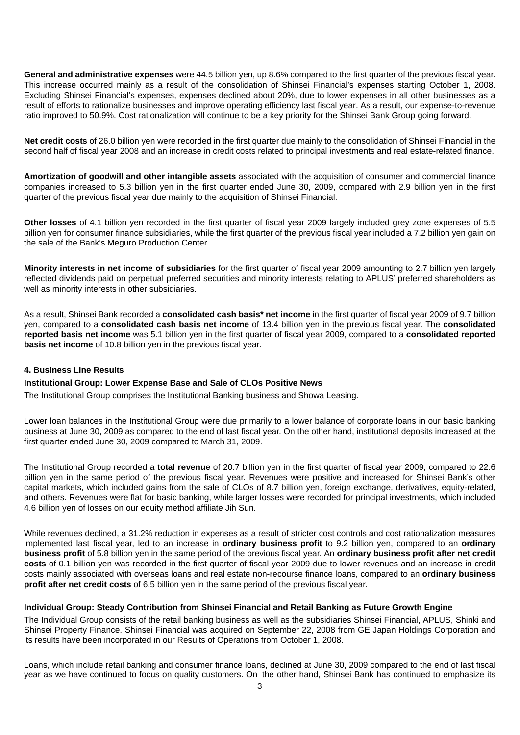**General and administrative expenses** were 44.5 billion yen, up 8.6% compared to the first quarter of the previous fiscal year. This increase occurred mainly as a result of the consolidation of Shinsei Financial's expenses starting October 1, 2008. Excluding Shinsei Financial's expenses, expenses declined about 20%, due to lower expenses in all other businesses as a result of efforts to rationalize businesses and improve operating efficiency last fiscal year. As a result, our expense-to-revenue ratio improved to 50.9%. Cost rationalization will continue to be a key priority for the Shinsei Bank Group going forward.

**Net credit costs** of 26.0 billion yen were recorded in the first quarter due mainly to the consolidation of Shinsei Financial in the second half of fiscal year 2008 and an increase in credit costs related to principal investments and real estate-related finance.

**Amortization of goodwill and other intangible assets** associated with the acquisition of consumer and commercial finance companies increased to 5.3 billion yen in the first quarter ended June 30, 2009, compared with 2.9 billion yen in the first quarter of the previous fiscal year due mainly to the acquisition of Shinsei Financial.

**Other losses** of 4.1 billion yen recorded in the first quarter of fiscal year 2009 largely included grey zone expenses of 5.5 billion yen for consumer finance subsidiaries, while the first quarter of the previous fiscal year included a 7.2 billion yen gain on the sale of the Bank's Meguro Production Center.

**Minority interests in net income of subsidiaries** for the first quarter of fiscal year 2009 amounting to 2.7 billion yen largely reflected dividends paid on perpetual preferred securities and minority interests relating to APLUS' preferred shareholders as well as minority interests in other subsidiaries.

As a result, Shinsei Bank recorded a **consolidated cash basis\* net income** in the first quarter of fiscal year 2009 of 9.7 billion yen, compared to a **consolidated cash basis net income** of 13.4 billion yen in the previous fiscal year. The **consolidated reported basis net income** was 5.1 billion yen in the first quarter of fiscal year 2009, compared to a **consolidated reported basis net income** of 10.8 billion yen in the previous fiscal year.

#### **4. Business Line Results**

#### **Institutional Group: Lower Expense Base and Sale of CLOs Positive News**

The Institutional Group comprises the Institutional Banking business and Showa Leasing.

Lower loan balances in the Institutional Group were due primarily to a lower balance of corporate loans in our basic banking business at June 30, 2009 as compared to the end of last fiscal year. On the other hand, institutional deposits increased at the first quarter ended June 30, 2009 compared to March 31, 2009.

The Institutional Group recorded a **total revenue** of 20.7 billion yen in the first quarter of fiscal year 2009, compared to 22.6 billion yen in the same period of the previous fiscal year. Revenues were positive and increased for Shinsei Bank's other capital markets, which included gains from the sale of CLOs of 8.7 billion yen, foreign exchange, derivatives, equity-related, and others. Revenues were flat for basic banking, while larger losses were recorded for principal investments, which included 4.6 billion yen of losses on our equity method affiliate Jih Sun.

While revenues declined, a 31.2% reduction in expenses as a result of stricter cost controls and cost rationalization measures implemented last fiscal year, led to an increase in **ordinary business profit** to 9.2 billion yen, compared to an **ordinary business profit** of 5.8 billion yen in the same period of the previous fiscal year. An **ordinary business profit after net credit costs** of 0.1 billion yen was recorded in the first quarter of fiscal year 2009 due to lower revenues and an increase in credit costs mainly associated with overseas loans and real estate non-recourse finance loans, compared to an **ordinary business profit after net credit costs** of 6.5 billion yen in the same period of the previous fiscal year.

#### **Individual Group: Steady Contribution from Shinsei Financial and Retail Banking as Future Growth Engine**

The Individual Group consists of the retail banking business as well as the subsidiaries Shinsei Financial, APLUS, Shinki and Shinsei Property Finance. Shinsei Financial was acquired on September 22, 2008 from GE Japan Holdings Corporation and its results have been incorporated in our Results of Operations from October 1, 2008.

Loans, which include retail banking and consumer finance loans, declined at June 30, 2009 compared to the end of last fiscal year as we have continued to focus on quality customers. On the other hand, Shinsei Bank has continued to emphasize its